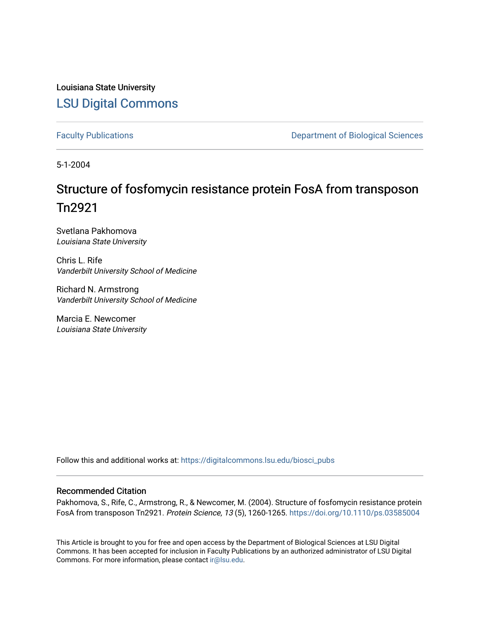Louisiana State University [LSU Digital Commons](https://digitalcommons.lsu.edu/)

[Faculty Publications](https://digitalcommons.lsu.edu/biosci_pubs) **Exercise 2 and Table 2 and Table 2 and Table 2 and Table 2 and Table 2 and Table 2 and Table 2 and Table 2 and Table 2 and Table 2 and Table 2 and Table 2 and Table 2 and Table 2 and Table 2 and Table** 

5-1-2004

# Structure of fosfomycin resistance protein FosA from transposon Tn2921

Svetlana Pakhomova Louisiana State University

Chris L. Rife Vanderbilt University School of Medicine

Richard N. Armstrong Vanderbilt University School of Medicine

Marcia E. Newcomer Louisiana State University

Follow this and additional works at: [https://digitalcommons.lsu.edu/biosci\\_pubs](https://digitalcommons.lsu.edu/biosci_pubs?utm_source=digitalcommons.lsu.edu%2Fbiosci_pubs%2F2723&utm_medium=PDF&utm_campaign=PDFCoverPages)

### Recommended Citation

Pakhomova, S., Rife, C., Armstrong, R., & Newcomer, M. (2004). Structure of fosfomycin resistance protein FosA from transposon Tn2921. Protein Science, 13 (5), 1260-1265.<https://doi.org/10.1110/ps.03585004>

This Article is brought to you for free and open access by the Department of Biological Sciences at LSU Digital Commons. It has been accepted for inclusion in Faculty Publications by an authorized administrator of LSU Digital Commons. For more information, please contact [ir@lsu.edu](mailto:ir@lsu.edu).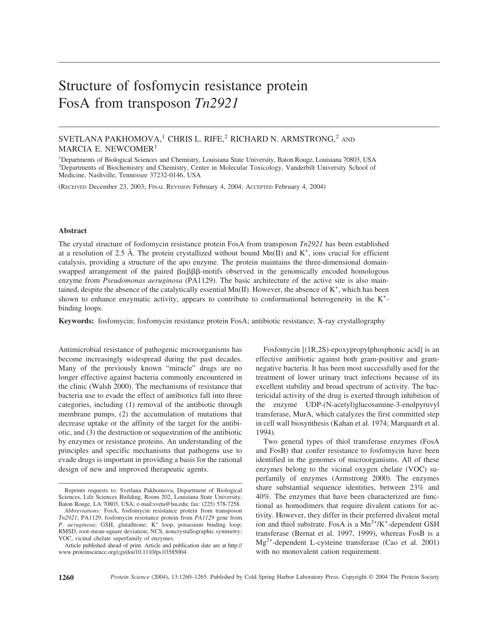# Structure of fosfomycin resistance protein FosA from transposon *Tn2921*

## SVETLANA PAKHOMOVA,<sup>1</sup> CHRIS L. RIFE,<sup>2</sup> RICHARD N. ARMSTRONG,<sup>2</sup> AND MARCIA E. NEWCOMER<sup>1</sup>

<sup>1</sup>Departments of Biological Sciences and Chemistry, Louisiana State University, Baton Rouge, Louisiana 70803, USA <sup>2</sup>Departments of Biochemistry and Chemistry, Center in Molecular Toxicology, Vanderbilt University School of Medicine, Nashville, Tennessee 37232-0146, USA

(RECEIVED December 23, 2003; FINAL REVISION February 4, 2004; ACCEPTED February 4, 2004)

#### **Abstract**

The crystal structure of fosfomycin resistance protein FosA from transposon *Tn2921* has been established at a resolution of 2.5 Å. The protein crystallized without bound  $Mn(II)$  and  $K^+$ , ions crucial for efficient catalysis, providing a structure of the apo enzyme. The protein maintains the three-dimensional domainswapped arrangement of the paired  $\beta \alpha \beta \beta \beta$ -motifs observed in the genomically encoded homologous enzyme from *Pseudomonas aeruginosa* (PA1129). The basic architecture of the active site is also maintained, despite the absence of the catalytically essential  $Mn(II)$ . However, the absence of  $K^+$ , which has been shown to enhance enzymatic activity, appears to contribute to conformational heterogeneity in the K<sup>+</sup>binding loops.

**Keywords:** fosfomycin; fosfomycin resistance protein FosA; antibiotic resistance; X-ray crystallography

Antimicrobial resistance of pathogenic microorganisms has become increasingly widespread during the past decades. Many of the previously known "miracle" drugs are no longer effective against bacteria commonly encountered in the clinic (Walsh 2000). The mechanisms of resistance that bacteria use to evade the effect of antibiotics fall into three categories, including (1) removal of the antibiotic through membrane pumps, (2) the accumulation of mutations that decrease uptake or the affinity of the target for the antibiotic, and (3) the destruction or sequestration of the antibiotic by enzymes or resistance proteins. An understanding of the principles and specific mechanisms that pathogens use to evade drugs is important in providing a basis for the rational design of new and improved therapeutic agents.

Fosfomycin [(1R,2S)-epoxypropylphosphonic acid] is an effective antibiotic against both gram-positive and gramnegative bacteria. It has been most successfully used for the treatment of lower urinary tract infections because of its excellent stability and broad spectrum of activity. The bactericidal activity of the drug is exerted through inhibition of enzyme UDP-(N-acetyl)glucosamine-3-enolpyruvyl transferase, MurA, which catalyzes the first committed step in cell wall biosynthesis (Kahan et al. 1974; Marquardt et al. 1994).

Two general types of thiol transferase enzymes (FosA and FosB) that confer resistance to fosfomycin have been identified in the genomes of microorganisms. All of these enzymes belong to the vicinal oxygen chelate (VOC) superfamily of enzymes (Armstrong 2000). The enzymes share substantial sequence identities, between 23% and 40%. The enzymes that have been characterized are functional as homodimers that require divalent cations for activity. However, they differ in their preferred divalent metal ion and thiol substrate. FosA is a  $Mn^{2+}/K^{+}$ -dependent GSH transferase (Bernat et al. 1997, 1999), whereas FosB is a Mg2+-dependent L-cysteine transferase (Cao et al. 2001) with no monovalent cation requirement.

Reprints requests to: Svetlana Pakhomova, Department of Biological Sciences, Life Sciences Building, Room 202, Louisiana State University, Baton Rouge, LA 70803, USA; e-mail:sveta@lsu.edu; fax: (225) 578-7258.

*Abbreviations:* FosA, fosfomycin resistance protein from transposon *Tn2921*; PA1129, fosfomycin resistance protein from *PA1129* gene from *P. aeruginosa*; GSH, glutathione; K<sup>+</sup> loop, potassium binding loop; RMSD, root-mean-square deviation; NCS, noncrystallographic symmetry; VOC, vicinal chelate superfamily of enzymes.

Article published ahead of print. Article and publication date are at http:// www.proteinscience.org/cgi/doi/10.1110/ps.03585004.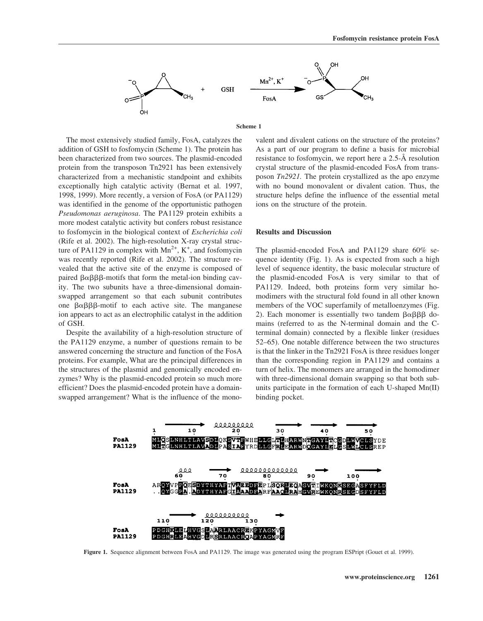

**Scheme 1**

### The most extensively studied family, FosA, catalyzes the addition of GSH to fosfomycin (Scheme 1). The protein has been characterized from two sources. The plasmid-encoded protein from the transposon Tn2921 has been extensively characterized from a mechanistic standpoint and exhibits exceptionally high catalytic activity (Bernat et al. 1997, 1998, 1999). More recently, a version of FosA (or PA1129) was identified in the genome of the opportunistic pathogen *Pseudomonas aeruginosa*. The PA1129 protein exhibits a more modest catalytic activity but confers robust resistance to fosfomycin in the biological context of *Escherichia coli* (Rife et al. 2002). The high-resolution X-ray crystal structure of PA1129 in complex with  $Mn^{2+}$ , K<sup>+</sup>, and fosfomycin was recently reported (Rife et al. 2002). The structure revealed that the active site of the enzyme is composed of paired  $\beta \alpha \beta \beta \beta$ -motifs that form the metal-ion binding cavity. The two subunits have a three-dimensional domainswapped arrangement so that each subunit contributes one  $\beta \alpha \beta \beta \beta$ -motif to each active site. The manganese ion appears to act as an electrophilic catalyst in the addition of GSH.

Despite the availability of a high-resolution structure of the PA1129 enzyme, a number of questions remain to be answered concerning the structure and function of the FosA proteins. For example, What are the principal differences in the structures of the plasmid and genomically encoded enzymes? Why is the plasmid-encoded protein so much more efficient? Does the plasmid-encoded protein have a domainswapped arrangement? What is the influence of the monovalent and divalent cations on the structure of the proteins? As a part of our program to define a basis for microbial resistance to fosfomycin, we report here a 2.5-Å resolution crystal structure of the plasmid-encoded FosA from transposon *Tn2921.* The protein crystallized as the apo enzyme with no bound monovalent or divalent cation. Thus, the structure helps define the influence of the essential metal ions on the structure of the protein.

#### **Results and Discussion**

The plasmid-encoded FosA and PA1129 share 60% sequence identity (Fig. 1). As is expected from such a high level of sequence identity, the basic molecular structure of the plasmid-encoded FosA is very similar to that of PA1129. Indeed, both proteins form very similar homodimers with the structural fold found in all other known members of the VOC superfamily of metalloenzymes (Fig. 2). Each monomer is essentially two tandem  $\beta \alpha \beta \beta \beta$  domains (referred to as the N-terminal domain and the Cterminal domain) connected by a flexible linker (residues 52–65). One notable difference between the two structures is that the linker in the Tn2921 FosA is three residues longer than the corresponding region in PA1129 and contains a turn of helix. The monomers are arranged in the homodimer with three-dimensional domain swapping so that both subunits participate in the formation of each U-shaped Mn(II) binding pocket.



**Figure 1.** Sequence alignment between FosA and PA1129. The image was generated using the program ESPript (Gouet et al. 1999).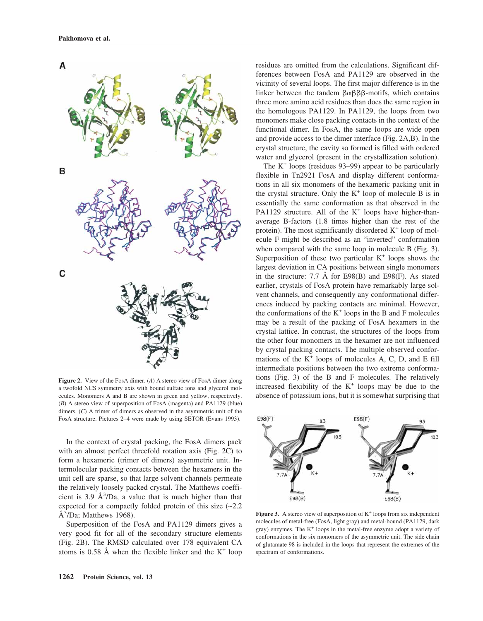

**Figure 2.** View of the FosA dimer. (*A*) A stereo view of FosA dimer along a twofold NCS symmetry axis with bound sulfate ions and glycerol molecules. Monomers A and B are shown in green and yellow, respectively. (*B*) A stereo view of superposition of FosA (magenta) and PA1129 (blue) dimers. (*C*) A trimer of dimers as observed in the asymmetric unit of the FosA structure. Pictures 2–4 were made by using SETOR (Evans 1993).

In the context of crystal packing, the FosA dimers pack with an almost perfect threefold rotation axis (Fig. 2C) to form a hexameric (trimer of dimers) asymmetric unit. Intermolecular packing contacts between the hexamers in the unit cell are sparse, so that large solvent channels permeate the relatively loosely packed crystal. The Matthews coefficient is  $3.9 \text{ Å}^3/\text{Da}$ , a value that is much higher than that expected for a compactly folded protein of this size (∼2.2  $\AA$ <sup>3</sup>/Da; Matthews 1968).

Superposition of the FosA and PA1129 dimers gives a very good fit for all of the secondary structure elements (Fig. 2B). The RMSD calculated over 178 equivalent CA atoms is 0.58 Å when the flexible linker and the  $K^+$  loop residues are omitted from the calculations. Significant differences between FosA and PA1129 are observed in the vicinity of several loops. The first major difference is in the linker between the tandem  $\beta \alpha \beta \beta \beta$ -motifs, which contains three more amino acid residues than does the same region in the homologous PA1129. In PA1129, the loops from two monomers make close packing contacts in the context of the functional dimer. In FosA, the same loops are wide open and provide access to the dimer interface (Fig. 2A,B). In the crystal structure, the cavity so formed is filled with ordered water and glycerol (present in the crystallization solution).

The  $K^+$  loops (residues 93–99) appear to be particularly flexible in Tn2921 FosA and display different conformations in all six monomers of the hexameric packing unit in the crystal structure. Only the  $K^+$  loop of molecule B is in essentially the same conformation as that observed in the PA1129 structure. All of the  $K^+$  loops have higher-thanaverage B-factors (1.8 times higher than the rest of the protein). The most significantly disordered  $K<sup>+</sup>$  loop of molecule F might be described as an "inverted" conformation when compared with the same loop in molecule B (Fig. 3). Superposition of these two particular  $K^+$  loops shows the largest deviation in CA positions between single monomers in the structure: 7.7 Å for E98(B) and E98(F). As stated earlier, crystals of FosA protein have remarkably large solvent channels, and consequently any conformational differences induced by packing contacts are minimal. However, the conformations of the  $K^+$  loops in the B and F molecules may be a result of the packing of FosA hexamers in the crystal lattice. In contrast, the structures of the loops from the other four monomers in the hexamer are not influenced by crystal packing contacts. The multiple observed conformations of the  $K^+$  loops of molecules A, C, D, and E fill intermediate positions between the two extreme conformations (Fig. 3) of the B and F molecules. The relatively increased flexibility of the  $K^+$  loops may be due to the absence of potassium ions, but it is somewhat surprising that



**Figure 3.** A stereo view of superposition of  $K^+$  loops from six independent molecules of metal-free (FosA, light gray) and metal-bound (PA1129, dark gray) enzymes. The  $K^+$  loops in the metal-free enzyme adopt a variety of conformations in the six monomers of the asymmetric unit. The side chain of glutamate 98 is included in the loops that represent the extremes of the spectrum of conformations.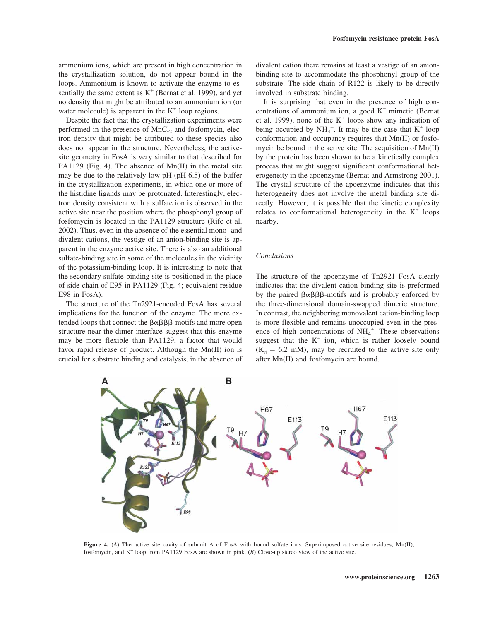ammonium ions, which are present in high concentration in the crystallization solution, do not appear bound in the loops. Ammonium is known to activate the enzyme to essentially the same extent as  $K^+$  (Bernat et al. 1999), and yet no density that might be attributed to an ammonium ion (or water molecule) is apparent in the  $K^+$  loop regions.

Despite the fact that the crystallization experiments were performed in the presence of  $MnCl<sub>2</sub>$  and fosfomycin, electron density that might be attributed to these species also does not appear in the structure. Nevertheless, the activesite geometry in FosA is very similar to that described for PA1129 (Fig. 4). The absence of  $Mn(II)$  in the metal site may be due to the relatively low pH (pH 6.5) of the buffer in the crystallization experiments, in which one or more of the histidine ligands may be protonated. Interestingly, electron density consistent with a sulfate ion is observed in the active site near the position where the phosphonyl group of fosfomycin is located in the PA1129 structure (Rife et al. 2002). Thus, even in the absence of the essential mono- and divalent cations, the vestige of an anion-binding site is apparent in the enzyme active site. There is also an additional sulfate-binding site in some of the molecules in the vicinity of the potassium-binding loop. It is interesting to note that the secondary sulfate-binding site is positioned in the place of side chain of E95 in PA1129 (Fig. 4; equivalent residue E98 in FosA).

The structure of the Tn2921-encoded FosA has several implications for the function of the enzyme. The more extended loops that connect the  $\beta \alpha \beta \beta \beta$ -motifs and more open structure near the dimer interface suggest that this enzyme may be more flexible than PA1129, a factor that would favor rapid release of product. Although the Mn(II) ion is crucial for substrate binding and catalysis, in the absence of divalent cation there remains at least a vestige of an anionbinding site to accommodate the phosphonyl group of the substrate. The side chain of R122 is likely to be directly involved in substrate binding.

It is surprising that even in the presence of high concentrations of ammonium ion, a good  $K^+$  mimetic (Bernat et al. 1999), none of the  $K^+$  loops show any indication of being occupied by  $NH_4^+$ . It may be the case that  $K^+$  loop conformation and occupancy requires that Mn(II) or fosfomycin be bound in the active site. The acquisition of Mn(II) by the protein has been shown to be a kinetically complex process that might suggest significant conformational heterogeneity in the apoenzyme (Bernat and Armstrong 2001). The crystal structure of the apoenzyme indicates that this heterogeneity does not involve the metal binding site directly. However, it is possible that the kinetic complexity relates to conformational heterogeneity in the  $K^+$  loops nearby.

#### *Conclusions*

The structure of the apoenzyme of Tn2921 FosA clearly indicates that the divalent cation-binding site is preformed by the paired  $\beta \alpha \beta \beta \beta$ -motifs and is probably enforced by the three-dimensional domain-swapped dimeric structure. In contrast, the neighboring monovalent cation-binding loop is more flexible and remains unoccupied even in the presence of high concentrations of  $NH_4^+$ . These observations suggest that the  $K^+$  ion, which is rather loosely bound  $(K_d = 6.2$  mM), may be recruited to the active site only after Mn(II) and fosfomycin are bound.



Figure 4. (*A*) The active site cavity of subunit A of FosA with bound sulfate ions. Superimposed active site residues, Mn(II), fosfomycin, and K<sup>+</sup> loop from PA1129 FosA are shown in pink. (*B*) Close-up stereo view of the active site.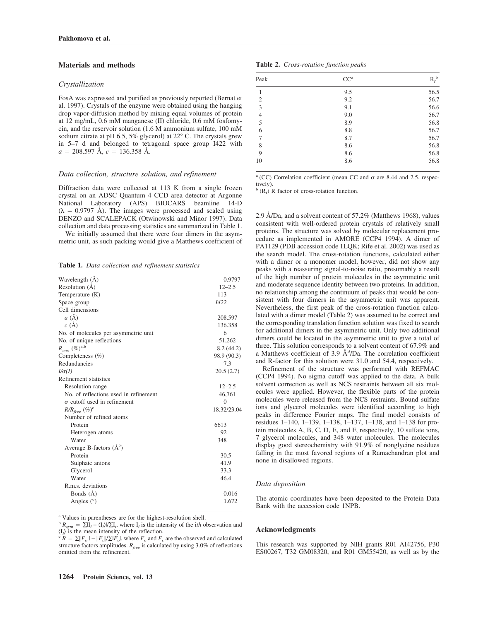#### **Materials and methods**

#### *Crystallization*

FosA was expressed and purified as previously reported (Bernat et al. 1997). Crystals of the enzyme were obtained using the hanging drop vapor-diffusion method by mixing equal volumes of protein at 12 mg/mL, 0.6 mM manganese (II) chloride, 0.6 mM fosfomycin, and the reservoir solution (1.6 M ammonium sulfate, 100 mM sodium citrate at pH 6.5, 5% glycerol) at 22° C. The crystals grew in 5–7 d and belonged to tetragonal space group I422 with  $a = 208.597$  Å,  $c = 136.358$  Å.

#### *Data collection, structure solution, and refinement*

Diffraction data were collected at 113 K from a single frozen crystal on an ADSC Quantum 4 CCD area detector at Argonne National Laboratory (APS) BIOCARS beamline 14-D  $(\lambda = 0.9797 \text{ Å})$ . The images were processed and scaled using DENZO and SCALEPACK (Otwinowski and Minor 1997). Data collection and data processing statistics are summarized in Table 1.

We initially assumed that there were four dimers in the asymmetric unit, as such packing would give a Matthews coefficient of

**Table 1.** *Data collection and refinement statistics*

| Wavelength (Å)                        | 0.9797      |
|---------------------------------------|-------------|
| Resolution $(A)$                      | $12 - 2.5$  |
| Temperature (K)                       | 113         |
| Space group                           | 1422        |
| Cell dimensions                       |             |
| $a(\AA)$                              | 208.597     |
| c(A)                                  | 136.358     |
| No. of molecules per asymmetric unit  | 6           |
| No. of unique reflections             | 51,262      |
| $R_{sym}$ (%) <sup>a,b</sup>          | 8.2(44.2)   |
| Completeness $(\% )$                  | 98.9 (90.3) |
| Redundancies                          | 7.3         |
| $I/\sigma(I)$                         | 20.5(2.7)   |
| Refinement statistics                 |             |
| Resolution range                      | $12 - 2.5$  |
| No. of reflections used in refinement | 46,761      |
| $\sigma$ cutoff used in refinement    | $\Omega$    |
| $R/R_{free}$ (%) <sup>c</sup>         | 18.32/23.04 |
| Number of refined atoms               |             |
| Protein                               | 6613        |
| Heterogen atoms                       | 92          |
| Water                                 | 348         |
| Average B-factors $(\AA^2)$           |             |
| Protein                               | 30.5        |
| Sulphate anions                       | 41.9        |
| Glycerol                              | 33.3        |
| Water                                 | 46.4        |
| R.m.s. deviations                     |             |
| Bonds (Å)                             | 0.016       |
| Angles $(°)$                          | 1.672       |

<sup>a</sup> Values in parentheses are for the highest-resolution shell.

 $B_{sym} = \sum I_i - \langle I_i \rangle / \sum I_i$ , where  $I_i$  is the intensity of the *ith* observation and  $\langle I_i \rangle$  is the mean intensity of the reflection.

 $\langle I_i \rangle$  is the mean intensity of the reflection.<br><sup>c</sup> *R* =  $\sum |F_o| - |F_c| / \sum |F_o|$ , where *F<sub>o</sub>* and *F<sub>c</sub>* are the observed and calculated structure factors amplitudes.  $R_{free}$  is calculated by using 3.0% of reflections omitted from the refinement.

|  | Table 2. Cross-rotation function peaks |  |  |
|--|----------------------------------------|--|--|
|--|----------------------------------------|--|--|

| Peak           | $CC^a$ | $R_f^{\ b}$ |
|----------------|--------|-------------|
| 1              | 9.5    | 56.5        |
| $\overline{2}$ | 9.2    | 56.7        |
| 3              | 9.1    | 56.6        |
| $\overline{4}$ | 9.0    | 56.7        |
| 5              | 8.9    | 56.8        |
| 6              | 8.8    | 56.7        |
| 7              | 8.7    | 56.7        |
| 8              | 8.6    | 56.8        |
| 9              | 8.6    | 56.8        |
| 10             | 8.6    | 56.8        |

<sup>a</sup> (CC) Correlation coefficient (mean CC and  $\sigma$  are 8.44 and 2.5, respectively).

 $\phi$  (R<sub>f</sub>) R factor of cross-rotation function.

2.9 Å/Da, and a solvent content of 57.2% (Matthews 1968), values consistent with well-ordered protein crystals of relatively small proteins. The structure was solved by molecular replacement procedure as implemented in AMORE (CCP4 1994). A dimer of PA1129 (PDB accession code 1LQK; Rife et al. 2002) was used as the search model. The cross-rotation functions, calculated either with a dimer or a monomer model, however, did not show any peaks with a reassuring signal-to-noise ratio, presumably a result of the high number of protein molecules in the asymmetric unit and moderate sequence identity between two proteins. In addition, no relationship among the continuum of peaks that would be consistent with four dimers in the asymmetric unit was apparent. Nevertheless, the first peak of the cross-rotation function calculated with a dimer model (Table 2) was assumed to be correct and the corresponding translation function solution was fixed to search for additional dimers in the asymmetric unit. Only two additional dimers could be located in the asymmetric unit to give a total of three. This solution corresponds to a solvent content of 67.9% and a Matthews coefficient of  $3.9 \text{ Å}^3/\text{Da}$ . The correlation coefficient and R-factor for this solution were 31.0 and 54.4, respectively.

Refinement of the structure was performed with REFMAC (CCP4 1994). No sigma cutoff was applied to the data. A bulk solvent correction as well as NCS restraints between all six molecules were applied. However, the flexible parts of the protein molecules were released from the NCS restraints. Bound sulfate ions and glycerol molecules were identified according to high peaks in difference Fourier maps. The final model consists of residues 1–140, 1–139, 1–138, 1–137, 1–138, and 1–138 for protein molecules A, B, C, D, E, and F, respectively, 10 sulfate ions, 7 glycerol molecules, and 348 water molecules. The molecules display good stereochemistry with 91.9% of nonglycine residues falling in the most favored regions of a Ramachandran plot and none in disallowed regions.

#### *Data deposition*

The atomic coordinates have been deposited to the Protein Data Bank with the accession code 1NPB.

#### **Acknowledgments**

This research was supported by NIH grants R01 AI42756, P30 ES00267, T32 GM08320, and R01 GM55420, as well as by the